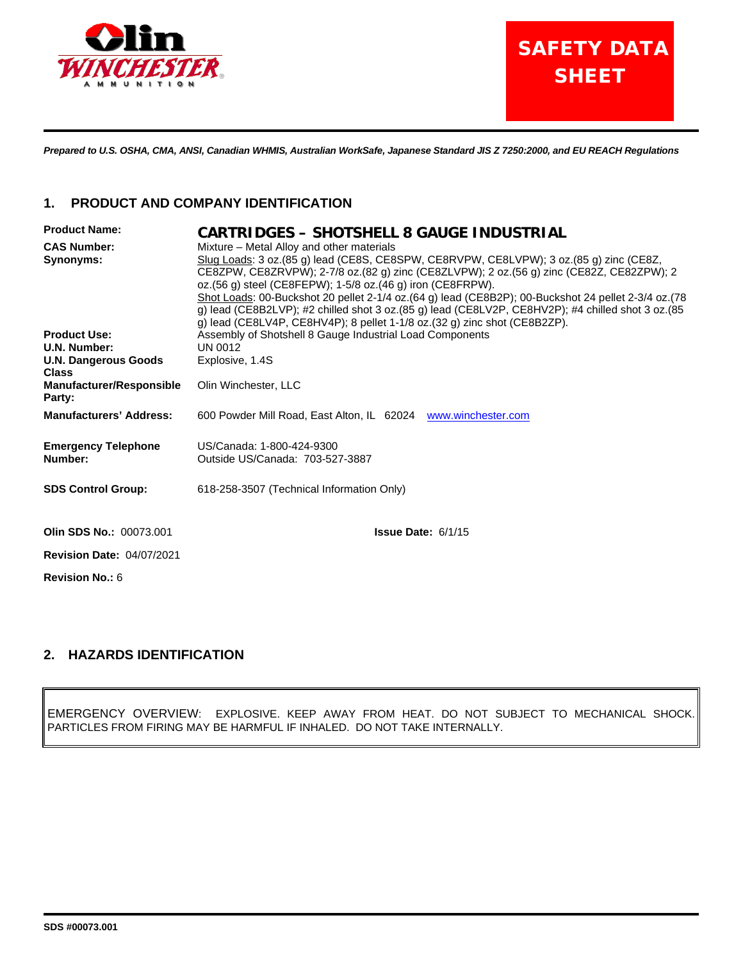

# SAFETY DATA **SHEET**

Prepared to U.S. OSHA, CMA, ANSI, Canadian WHMIS, Australian WorkSafe, Japanese Standard JIS Z 7250:2000, and EU REACH Regulations

# **1. PRODUCT AND COMPANY IDENTIFICATION**

| <b>Product Name:</b>                        | <b>CARTRIDGES - SHOTSHELL 8 GAUGE INDUSTRIAL</b>                                                                                                                                                                                                                                                                                                                                                                                                                                                                                                                                                  |
|---------------------------------------------|---------------------------------------------------------------------------------------------------------------------------------------------------------------------------------------------------------------------------------------------------------------------------------------------------------------------------------------------------------------------------------------------------------------------------------------------------------------------------------------------------------------------------------------------------------------------------------------------------|
| <b>CAS Number:</b><br>Synonyms:             | Mixture – Metal Alloy and other materials<br>Slug Loads: 3 oz.(85 g) lead (CE8S, CE8SPW, CE8RVPW, CE8LVPW); 3 oz.(85 g) zinc (CE8Z,<br>CE8ZPW, CE8ZRVPW); 2-7/8 oz.(82 g) zinc (CE8ZLVPW); 2 oz.(56 g) zinc (CE82Z, CE82ZPW); 2<br>$oz.(56 g)$ steel (CE8FEPW); 1-5/8 $oz.(46 g)$ iron (CE8FRPW).<br>Shot Loads: 00-Buckshot 20 pellet 2-1/4 oz. (64 g) lead (CE8B2P); 00-Buckshot 24 pellet 2-3/4 oz. (78<br>g) lead (CE8B2LVP); #2 chilled shot 3 oz.(85 g) lead (CE8LV2P, CE8HV2P); #4 chilled shot 3 oz.(85<br>g) lead (CE8LV4P, CE8HV4P); 8 pellet $1-1/8$ oz. $(32 g)$ zinc shot (CE8B2ZP). |
| <b>Product Use:</b>                         | Assembly of Shotshell 8 Gauge Industrial Load Components                                                                                                                                                                                                                                                                                                                                                                                                                                                                                                                                          |
| U.N. Number:                                | <b>UN 0012</b>                                                                                                                                                                                                                                                                                                                                                                                                                                                                                                                                                                                    |
| <b>U.N. Dangerous Goods</b><br><b>Class</b> | Explosive, 1.4S                                                                                                                                                                                                                                                                                                                                                                                                                                                                                                                                                                                   |
| <b>Manufacturer/Responsible</b><br>Party:   | Olin Winchester, LLC                                                                                                                                                                                                                                                                                                                                                                                                                                                                                                                                                                              |
| <b>Manufacturers' Address:</b>              | 600 Powder Mill Road, East Alton, IL 62024 www.winchester.com                                                                                                                                                                                                                                                                                                                                                                                                                                                                                                                                     |
| <b>Emergency Telephone</b><br>Number:       | US/Canada: 1-800-424-9300<br>Outside US/Canada: 703-527-3887                                                                                                                                                                                                                                                                                                                                                                                                                                                                                                                                      |
| <b>SDS Control Group:</b>                   | 618-258-3507 (Technical Information Only)                                                                                                                                                                                                                                                                                                                                                                                                                                                                                                                                                         |
| Olin SDS No.: 00073.001                     | Issue Date: 6/1/15                                                                                                                                                                                                                                                                                                                                                                                                                                                                                                                                                                                |
| <b>Revision Date: 04/07/2021</b>            |                                                                                                                                                                                                                                                                                                                                                                                                                                                                                                                                                                                                   |
| <b>Revision No.: 6</b>                      |                                                                                                                                                                                                                                                                                                                                                                                                                                                                                                                                                                                                   |

# **2. HAZARDS IDENTIFICATION**

EMERGENCY OVERVIEW: EXPLOSIVE. KEEP AWAY FROM HEAT. DO NOT SUBJECT TO MECHANICAL SHOCK. PARTICLES FROM FIRING MAY BE HARMFUL IF INHALED. DO NOT TAKE INTERNALLY.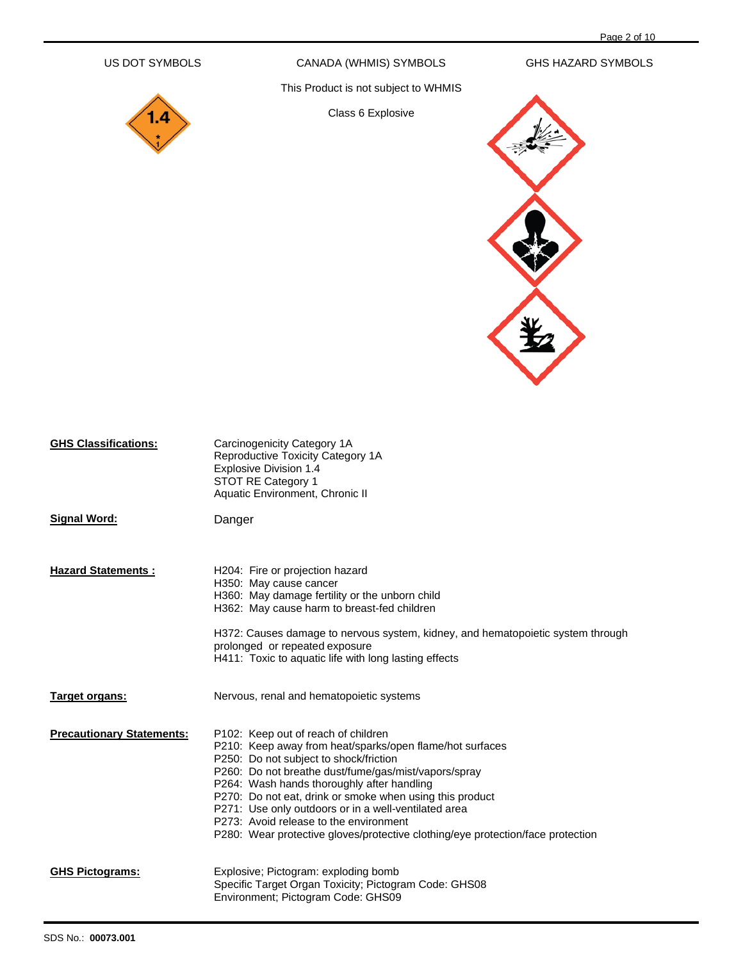# US DOT SYMBOLS CANADA (WHMIS) SYMBOLS GHS HAZARD SYMBOLS

This Product is not subject to WHMIS

Class 6 Explosive



| <b>GHS Classifications:</b>      | Carcinogenicity Category 1A<br>Reproductive Toxicity Category 1A<br><b>Explosive Division 1.4</b><br>STOT RE Category 1<br>Aquatic Environment, Chronic II                                                                                                                                                                                                                                                                                                                                       |
|----------------------------------|--------------------------------------------------------------------------------------------------------------------------------------------------------------------------------------------------------------------------------------------------------------------------------------------------------------------------------------------------------------------------------------------------------------------------------------------------------------------------------------------------|
| <b>Signal Word:</b>              | Danger                                                                                                                                                                                                                                                                                                                                                                                                                                                                                           |
| <b>Hazard Statements:</b>        | H <sub>204</sub> : Fire or projection hazard<br>H350: May cause cancer<br>H360: May damage fertility or the unborn child<br>H362: May cause harm to breast-fed children<br>H372: Causes damage to nervous system, kidney, and hematopoietic system through<br>prolonged or repeated exposure<br>H411: Toxic to aquatic life with long lasting effects                                                                                                                                            |
| Target organs:                   | Nervous, renal and hematopoietic systems                                                                                                                                                                                                                                                                                                                                                                                                                                                         |
| <b>Precautionary Statements:</b> | P102: Keep out of reach of children<br>P210: Keep away from heat/sparks/open flame/hot surfaces<br>P250: Do not subject to shock/friction<br>P260: Do not breathe dust/fume/gas/mist/vapors/spray<br>P264: Wash hands thoroughly after handling<br>P270: Do not eat, drink or smoke when using this product<br>P271: Use only outdoors or in a well-ventilated area<br>P273: Avoid release to the environment<br>P280: Wear protective gloves/protective clothing/eye protection/face protection |
| <b>GHS Pictograms:</b>           | Explosive; Pictogram: exploding bomb<br>Specific Target Organ Toxicity; Pictogram Code: GHS08<br>Environment; Pictogram Code: GHS09                                                                                                                                                                                                                                                                                                                                                              |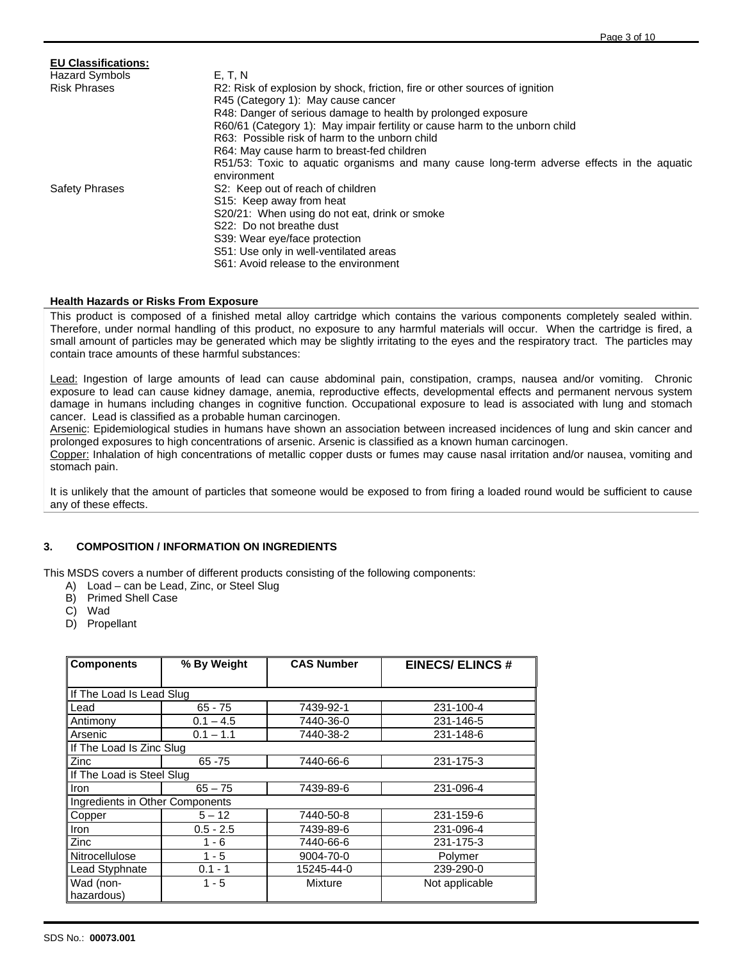| <b>EU Classifications:</b> |                                                                                            |
|----------------------------|--------------------------------------------------------------------------------------------|
| <b>Hazard Symbols</b>      | E, T, N                                                                                    |
| <b>Risk Phrases</b>        | R2: Risk of explosion by shock, friction, fire or other sources of ignition                |
|                            | R45 (Category 1): May cause cancer                                                         |
|                            | R48: Danger of serious damage to health by prolonged exposure                              |
|                            | R60/61 (Category 1): May impair fertility or cause harm to the unborn child                |
|                            | R63: Possible risk of harm to the unborn child                                             |
|                            | R64: May cause harm to breast-fed children                                                 |
|                            | R51/53: Toxic to aguatic organisms and many cause long-term adverse effects in the aguatic |
|                            | environment                                                                                |
| <b>Safety Phrases</b>      | S2: Keep out of reach of children                                                          |
|                            | S <sub>15</sub> : Keep away from heat                                                      |
|                            | S20/21: When using do not eat, drink or smoke                                              |
|                            | S22: Do not breathe dust                                                                   |
|                            | S39: Wear eye/face protection                                                              |
|                            | S51: Use only in well-ventilated areas                                                     |
|                            | S61: Avoid release to the environment                                                      |

# **Health Hazards or Risks From Exposure**

This product is composed of a finished metal alloy cartridge which contains the various components completely sealed within. Therefore, under normal handling of this product, no exposure to any harmful materials will occur. When the cartridge is fired, a small amount of particles may be generated which may be slightly irritating to the eyes and the respiratory tract. The particles may contain trace amounts of these harmful substances:

Lead: Ingestion of large amounts of lead can cause abdominal pain, constipation, cramps, nausea and/or vomiting. Chronic exposure to lead can cause kidney damage, anemia, reproductive effects, developmental effects and permanent nervous system damage in humans including changes in cognitive function. Occupational exposure to lead is associated with lung and stomach cancer. Lead is classified as a probable human carcinogen.

Arsenic: Epidemiological studies in humans have shown an association between increased incidences of lung and skin cancer and prolonged exposures to high concentrations of arsenic. Arsenic is classified as a known human carcinogen.

Copper: Inhalation of high concentrations of metallic copper dusts or fumes may cause nasal irritation and/or nausea, vomiting and stomach pain.

It is unlikely that the amount of particles that someone would be exposed to from firing a loaded round would be sufficient to cause any of these effects.

# **3. COMPOSITION / INFORMATION ON INGREDIENTS**

This MSDS covers a number of different products consisting of the following components:

- A) Load can be Lead, Zinc, or Steel Slug
- B) Primed Shell Case
- C) Wad
- D) Propellant

| <b>Components</b>               | % By Weight | <b>CAS Number</b> | <b>EINECS/ ELINCS #</b> |  |
|---------------------------------|-------------|-------------------|-------------------------|--|
|                                 |             |                   |                         |  |
| If The Load Is Lead Slug        |             |                   |                         |  |
| Lead                            | $65 - 75$   | 7439-92-1         | 231-100-4               |  |
| <b>Antimony</b>                 | $0.1 - 4.5$ | 7440-36-0         | 231-146-5               |  |
| Arsenic                         | $0.1 - 1.1$ | 7440-38-2         | 231-148-6               |  |
| If The Load Is Zinc Slug        |             |                   |                         |  |
| <b>Zinc</b>                     | $65 - 75$   | 7440-66-6         | 231-175-3               |  |
| If The Load is Steel Slug       |             |                   |                         |  |
| Iron                            | $65 - 75$   | 7439-89-6         | 231-096-4               |  |
| Ingredients in Other Components |             |                   |                         |  |
| Copper                          | $5 - 12$    | 7440-50-8         | 231-159-6               |  |
| Iron                            | $0.5 - 2.5$ | 7439-89-6         | 231-096-4               |  |
| <b>Zinc</b>                     | 1 - 6       | 7440-66-6         | 231-175-3               |  |
| <b>Nitrocellulose</b>           | $1 - 5$     | 9004-70-0         | Polymer                 |  |
| Lead Styphnate                  | $0.1 - 1$   | 15245-44-0        | 239-290-0               |  |
| Wad (non-                       | 1 - 5       | <b>Mixture</b>    | Not applicable          |  |
| hazardous)                      |             |                   |                         |  |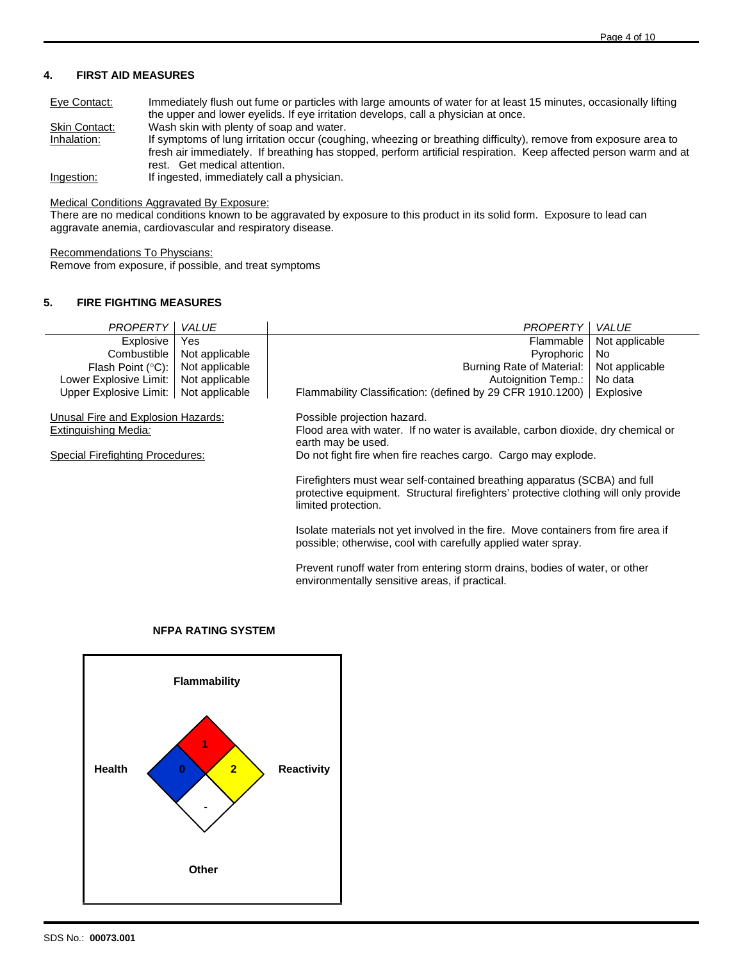# **4. FIRST AID MEASURES**

| Eve Contact:  | Immediately flush out fume or particles with large amounts of water for at least 15 minutes, occasionally lifting |
|---------------|-------------------------------------------------------------------------------------------------------------------|
|               | the upper and lower eyelids. If eye irritation develops, call a physician at once.                                |
| Skin Contact: | Wash skin with plenty of soap and water.                                                                          |
| Inhalation:   | If symptoms of lung irritation occur (coughing, wheezing or breathing difficulty), remove from exposure area to   |
|               | fresh air immediately. If breathing has stopped, perform artificial respiration. Keep affected person warm and at |
|               | rest. Get medical attention.                                                                                      |
| Ingestion:    | If ingested, immediately call a physician.                                                                        |

Medical Conditions Aggravated By Exposure:

There are no medical conditions known to be aggravated by exposure to this product in its solid form. Exposure to lead can aggravate anemia, cardiovascular and respiratory disease.

Recommendations To Physcians:

Remove from exposure, if possible, and treat symptoms

# **5. FIRE FIGHTING MEASURES**

| <b>PROPERTY</b>                                            | <b>VALUE</b>   | PROPERTY                                                                                                                                                                                 | <b>VALUE</b>                                                                      |  |  |
|------------------------------------------------------------|----------------|------------------------------------------------------------------------------------------------------------------------------------------------------------------------------------------|-----------------------------------------------------------------------------------|--|--|
| Explosive                                                  | Yes            | Flammable                                                                                                                                                                                | Not applicable                                                                    |  |  |
| Combustible                                                | Not applicable | Pyrophoric                                                                                                                                                                               | No                                                                                |  |  |
| Flash Point (°C):                                          | Not applicable | Burning Rate of Material:                                                                                                                                                                | Not applicable                                                                    |  |  |
| Lower Explosive Limit:                                     | Not applicable | Autoignition Temp.:                                                                                                                                                                      | No data                                                                           |  |  |
| Upper Explosive Limit:                                     | Not applicable | Flammability Classification: (defined by 29 CFR 1910.1200)                                                                                                                               | Explosive                                                                         |  |  |
| Unusal Fire and Explosion Hazards:<br>Extinguishing Media: |                | Possible projection hazard.<br>earth may be used.                                                                                                                                        | Flood area with water. If no water is available, carbon dioxide, dry chemical or  |  |  |
| Special Firefighting Procedures:                           |                | Do not fight fire when fire reaches cargo. Cargo may explode.                                                                                                                            |                                                                                   |  |  |
|                                                            |                | Firefighters must wear self-contained breathing apparatus (SCBA) and full<br>protective equipment. Structural firefighters' protective clothing will only provide<br>limited protection. |                                                                                   |  |  |
|                                                            |                | possible; otherwise, cool with carefully applied water spray.                                                                                                                            | Isolate materials not yet involved in the fire. Move containers from fire area if |  |  |
|                                                            |                | Prevent runoff water from entering storm drains, bodies of water, or other<br>environmentally sensitive areas, if practical.                                                             |                                                                                   |  |  |



# **NFPA RATING SYSTEM**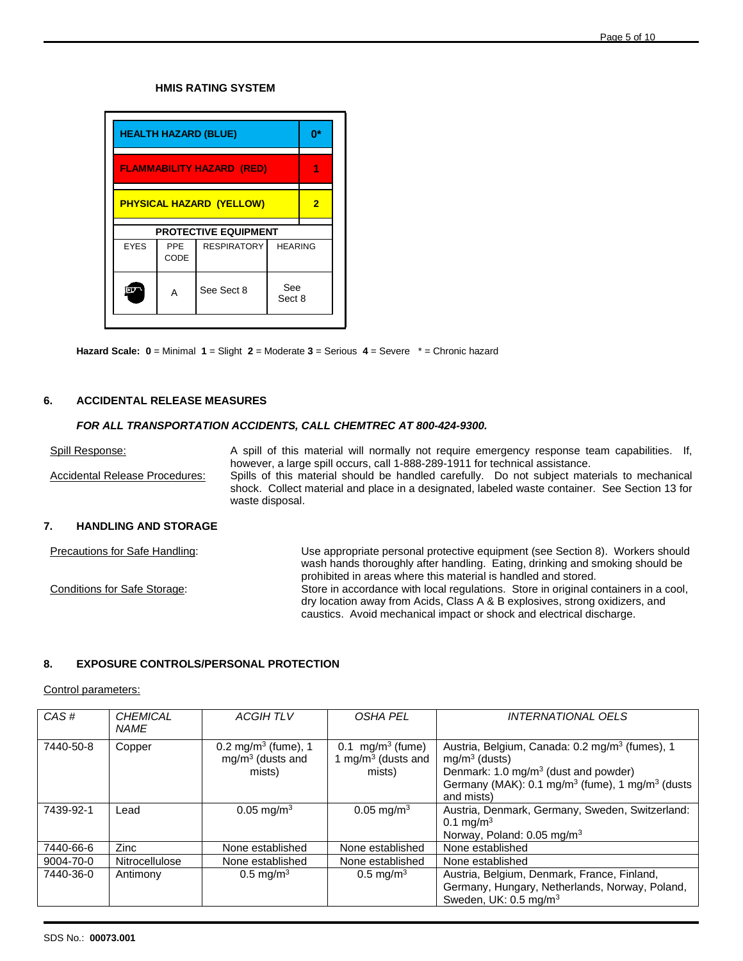# **HMIS RATING SYSTEM**

| <b>HEALTH HAZARD (BLUE)</b>      |             |                    |                |   |
|----------------------------------|-------------|--------------------|----------------|---|
| <b>FLAMMABILITY HAZARD (RED)</b> |             |                    |                |   |
| <b>PHYSICAL HAZARD (YELLOW)</b>  |             |                    |                | 2 |
| <b>PROTECTIVE EQUIPMENT</b>      |             |                    |                |   |
| <b>EYES</b>                      | PPE<br>CODE | <b>RESPIRATORY</b> | <b>HEARING</b> |   |
| See<br>See Sect 8<br>Α<br>Sect 8 |             |                    |                |   |

**Hazard Scale: 0** = Minimal **1** = Slight **2** = Moderate **3** = Serious **4** = Severe \* = Chronic hazard

# **6. ACCIDENTAL RELEASE MEASURES**

#### *FOR ALL TRANSPORTATION ACCIDENTS, CALL CHEMTREC AT 800-424-9300.*

Spill Response: A spill of this material will normally not require emergency response team capabilities. If, however, a large spill occurs, call 1-888-289-1911 for technical assistance. Accidental Release Procedures: Spills of this material should be handled carefully. Do not subject materials to mechanical shock. Collect material and place in a designated, labeled waste container. See Section 13 for waste disposal.

# **7. HANDLING AND STORAGE**

| Precautions for Safe Handling:      | Use appropriate personal protective equipment (see Section 8). Workers should       |
|-------------------------------------|-------------------------------------------------------------------------------------|
|                                     | wash hands thoroughly after handling. Eating, drinking and smoking should be        |
|                                     | prohibited in areas where this material is handled and stored.                      |
| <b>Conditions for Safe Storage:</b> | Store in accordance with local regulations. Store in original containers in a cool, |
|                                     | dry location away from Acids, Class A & B explosives, strong oxidizers, and         |
|                                     | caustics. Avoid mechanical impact or shock and electrical discharge.                |

# **8. EXPOSURE CONTROLS/PERSONAL PROTECTION**

#### Control parameters:

| CAS#      | <b>CHEMICAL</b><br><b>NAME</b> | <b>ACGIHTLV</b>                                                 | <b>OSHA PEL</b>                                          | INTERNATIONAL OELS                                                                                                                                                                                                         |
|-----------|--------------------------------|-----------------------------------------------------------------|----------------------------------------------------------|----------------------------------------------------------------------------------------------------------------------------------------------------------------------------------------------------------------------------|
| 7440-50-8 | Copper                         | 0.2 mg/m <sup>3</sup> (fume), 1<br>$mg/m3$ (dusts and<br>mists) | $mg/m3$ (fume)<br>0.1<br>1 mg/m $3$ (dusts and<br>mists) | Austria, Belgium, Canada: 0.2 mg/m <sup>3</sup> (fumes), 1<br>$mg/m3$ (dusts)<br>Denmark: 1.0 mg/m <sup>3</sup> (dust and powder)<br>Germany (MAK): 0.1 mg/m <sup>3</sup> (fume), 1 mg/m <sup>3</sup> (dusts<br>and mists) |
| 7439-92-1 | Lead                           | $0.05$ mg/m <sup>3</sup>                                        | $0.05 \,\mathrm{mg/m^3}$                                 | Austria, Denmark, Germany, Sweden, Switzerland:<br>0.1 mg/m <sup>3</sup><br>Norway, Poland: 0.05 mg/m <sup>3</sup>                                                                                                         |
| 7440-66-6 | Zinc                           | None established                                                | None established                                         | None established                                                                                                                                                                                                           |
| 9004-70-0 | Nitrocellulose                 | None established                                                | None established                                         | None established                                                                                                                                                                                                           |
| 7440-36-0 | Antimony                       | $0.5 \,\mathrm{mq/m^3}$                                         | $0.5 \,\mathrm{mq/m^3}$                                  | Austria, Belgium, Denmark, France, Finland,<br>Germany, Hungary, Netherlands, Norway, Poland,<br>Sweden, UK: $0.5 \text{ mg/m}^3$                                                                                          |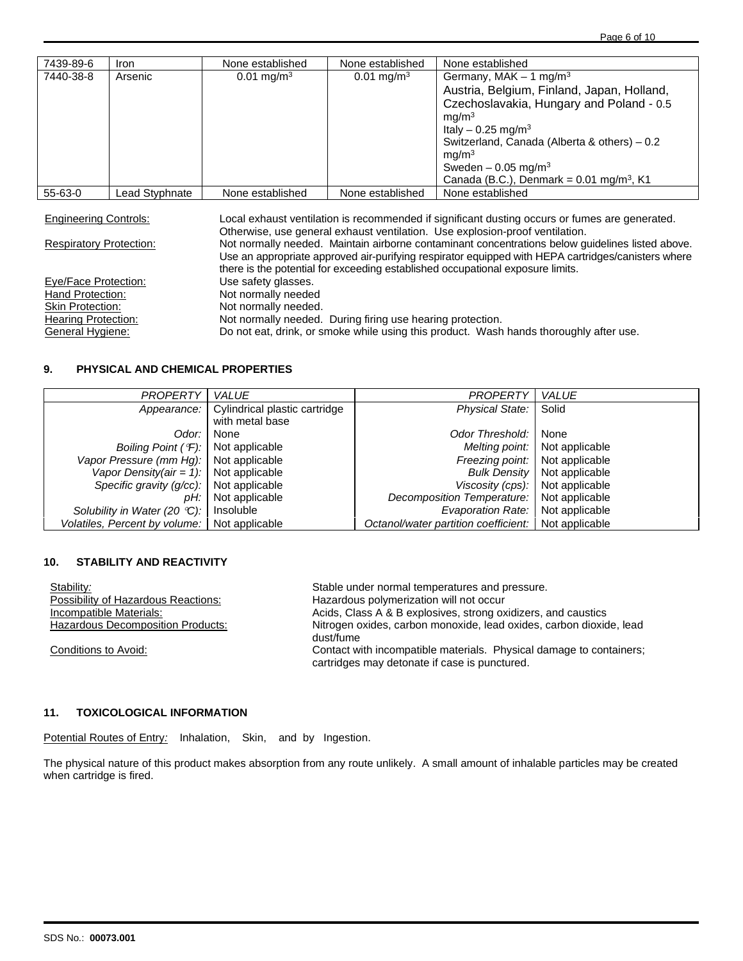| 7439-89-6 | <b>Iron</b>    | None established      | None established         | None established                                                                                                               |
|-----------|----------------|-----------------------|--------------------------|--------------------------------------------------------------------------------------------------------------------------------|
| 7440-38-8 | Arsenic        | $0.01 \text{ mg/m}^3$ | $0.01 \,\mathrm{mg/m^3}$ | Germany, MAK $-$ 1 mg/m <sup>3</sup><br>Austria, Belgium, Finland, Japan, Holland,<br>Czechoslavakia, Hungary and Poland - 0.5 |
|           |                |                       |                          | mq/m <sup>3</sup><br>Italy – 0.25 mg/m <sup>3</sup><br>Switzerland, Canada (Alberta & others) – 0.2<br>mq/m <sup>3</sup>       |
|           |                |                       |                          | Sweden $-0.05$ mg/m <sup>3</sup><br>Canada (B.C.), Denmark = $0.01$ mg/m <sup>3</sup> , K1                                     |
| 55-63-0   | Lead Styphnate | None established      | None established         | None established                                                                                                               |

Engineering Controls: Local exhaust ventilation is recommended if significant dusting occurs or fumes are generated. Otherwise, use general exhaust ventilation. Use explosion-proof ventilation. Respiratory Protection: Not normally needed. Maintain airborne contaminant concentrations below guidelines listed above. Use an appropriate approved air-purifying respirator equipped with HEPA cartridges/canisters where there is the potential for exceeding established occupational exposure limits. Eye/Face Protection: Use safety glasses. **Hand Protection:** Not normally needed<br>
Skin Protection: Not normally needed. Skin Protection: Not normally needed.<br>
Hearing Protection: Not normally needed. Not normally needed. During firing use hearing protection. General Hygiene: Do not eat, drink, or smoke while using this product. Wash hands thoroughly after use.

# **9. PHYSICAL AND CHEMICAL PROPERTIES**

| PROPERTY                                       | <b>VALUE</b>                  | <b>PROPERTY</b>                      | <b>VALUE</b>   |
|------------------------------------------------|-------------------------------|--------------------------------------|----------------|
| Appearance:                                    | Cylindrical plastic cartridge | <b>Physical State:</b>               | Solid          |
|                                                | with metal base               |                                      |                |
| Odor:                                          | None                          | Odor Threshold:                      | None           |
| Boiling Point $(°F)$ :                         | Not applicable                | Melting point:                       | Not applicable |
| Vapor Pressure (mm Hg): $\vert$ Not applicable |                               | Freezing point:                      | Not applicable |
| Vapor Density(air = 1): $\vert$ Not applicable |                               | <b>Bulk Density</b>                  | Not applicable |
| Specific gravity $(g/cc)$ :                    | Not applicable                | Viscosity (cps):                     | Not applicable |
| pH:                                            | Not applicable                | Decomposition Temperature:           | Not applicable |
| Solubility in Water (20 $^{\circ}$ C):         | Insoluble                     | <b>Evaporation Rate:</b>             | Not applicable |
| Volatiles, Percent by volume:                  | Not applicable                | Octanol/water partition coefficient: | Not applicable |

# **10. STABILITY AND REACTIVITY**

| Stability:                               | Stable under normal temperatures and pressure.                                                                       |
|------------------------------------------|----------------------------------------------------------------------------------------------------------------------|
| Possibility of Hazardous Reactions:      | Hazardous polymerization will not occur                                                                              |
| Incompatible Materials:                  | Acids, Class A & B explosives, strong oxidizers, and caustics                                                        |
| <b>Hazardous Decomposition Products:</b> | Nitrogen oxides, carbon monoxide, lead oxides, carbon dioxide, lead<br>dust/fume                                     |
| Conditions to Avoid:                     | Contact with incompatible materials. Physical damage to containers;<br>cartridges may detonate if case is punctured. |

# **11. TOXICOLOGICAL INFORMATION**

Potential Routes of Entry*:* Inhalation, Skin, and by Ingestion.

The physical nature of this product makes absorption from any route unlikely. A small amount of inhalable particles may be created when cartridge is fired.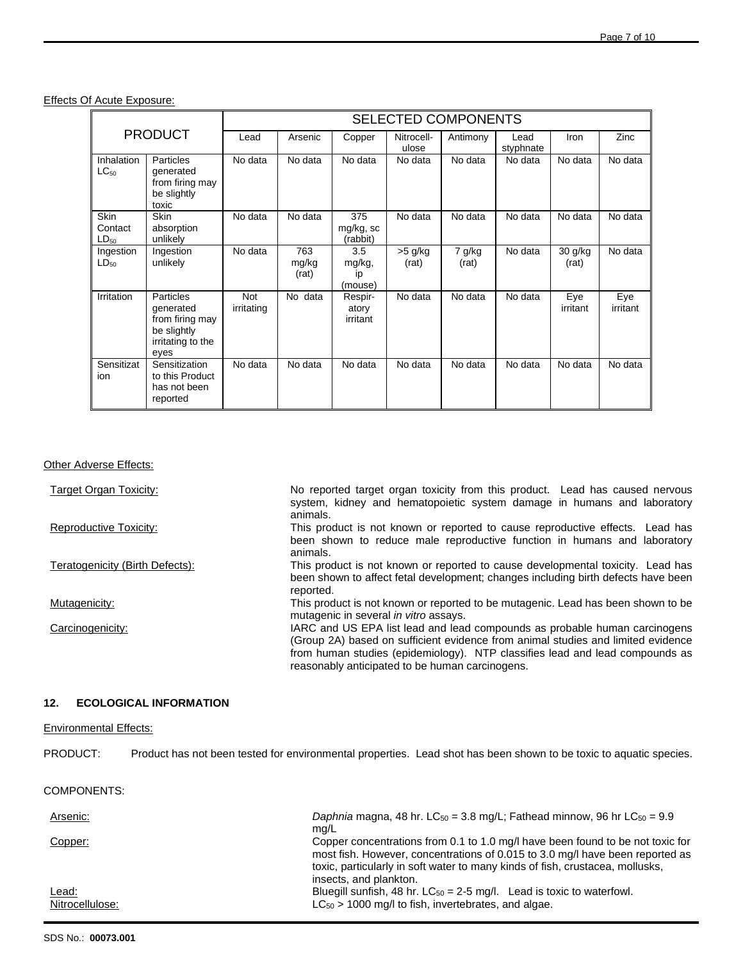# Effects Of Acute Exposure:

|                              |                                                                                       | <b>SELECTED COMPONENTS</b> |                       |                                |                     |                 |                   |                    |                 |
|------------------------------|---------------------------------------------------------------------------------------|----------------------------|-----------------------|--------------------------------|---------------------|-----------------|-------------------|--------------------|-----------------|
| <b>PRODUCT</b>               |                                                                                       | Lead                       | Arsenic               | Copper                         | Nitrocell-<br>ulose | Antimony        | Lead<br>styphnate | Iron               | Zinc            |
| Inhalation<br>$LC_{50}$      | Particles<br>generated<br>from firing may<br>be slightly<br>toxic                     | No data                    | No data               | No data                        | No data             | No data         | No data           | No data            | No data         |
| Skin<br>Contact<br>$LD_{50}$ | <b>Skin</b><br>absorption<br>unlikely                                                 | No data                    | No data               | 375<br>mg/kg, sc<br>(rabbit)   | No data             | No data         | No data           | No data            | No data         |
| Ingestion<br>$LD_{50}$       | Ingestion<br>unlikely                                                                 | No data                    | 763<br>mg/kg<br>(rat) | 3.5<br>mg/kg,<br>ip<br>(mouse) | $>5$ g/kg<br>(rat)  | 7 g/kg<br>(rat) | No data           | $30$ g/kg<br>(rat) | No data         |
| Irritation                   | Particles<br>generated<br>from firing may<br>be slightly<br>irritating to the<br>eyes | <b>Not</b><br>irritating   | No data               | Respir-<br>atory<br>irritant   | No data             | No data         | No data           | Eye<br>irritant    | Eye<br>irritant |
| Sensitizat<br>ion            | Sensitization<br>to this Product<br>has not been<br>reported                          | No data                    | No data               | No data                        | No data             | No data         | No data           | No data            | No data         |

# **Other Adverse Effects:**

| <b>Target Organ Toxicity:</b>   | No reported target organ toxicity from this product. Lead has caused nervous<br>system, kidney and hematopoietic system damage in humans and laboratory<br>animals.                                                                                                                               |
|---------------------------------|---------------------------------------------------------------------------------------------------------------------------------------------------------------------------------------------------------------------------------------------------------------------------------------------------|
| Reproductive Toxicity:          | This product is not known or reported to cause reproductive effects. Lead has<br>been shown to reduce male reproductive function in humans and laboratory<br>animals.                                                                                                                             |
| Teratogenicity (Birth Defects): | This product is not known or reported to cause developmental toxicity. Lead has<br>been shown to affect fetal development; changes including birth defects have been<br>reported.                                                                                                                 |
| Mutagenicity:                   | This product is not known or reported to be mutagenic. Lead has been shown to be<br>mutagenic in several in vitro assays.                                                                                                                                                                         |
| Carcinogenicity:                | IARC and US EPA list lead and lead compounds as probable human carcinogens<br>(Group 2A) based on sufficient evidence from animal studies and limited evidence<br>from human studies (epidemiology). NTP classifies lead and lead compounds as<br>reasonably anticipated to be human carcinogens. |

# **12. ECOLOGICAL INFORMATION**

# Environmental Effects:

| PRODUCT: |  | Product has not been tested for environmental properties. Lead shot has been shown to be toxic to aquatic species. |
|----------|--|--------------------------------------------------------------------------------------------------------------------|
|          |  |                                                                                                                    |

# COMPONENTS:

| Arsenic:        | Daphnia magna, 48 hr. LC $_{50}$ = 3.8 mg/L; Fathead minnow, 96 hr LC $_{50}$ = 9.9    |
|-----------------|----------------------------------------------------------------------------------------|
| Copper:         | ma/L<br>Copper concentrations from 0.1 to 1.0 mg/l have been found to be not toxic for |
|                 | most fish. However, concentrations of 0.015 to 3.0 mg/l have been reported as          |
|                 | toxic, particularly in soft water to many kinds of fish, crustacea, mollusks,          |
|                 | insects, and plankton.                                                                 |
| Lead:           | Bluegill sunfish, 48 hr. $LC_{50} = 2-5$ mg/l. Lead is toxic to waterfowl.             |
| Nitrocellulose: | $LC_{50}$ > 1000 mg/l to fish, invertebrates, and algae.                               |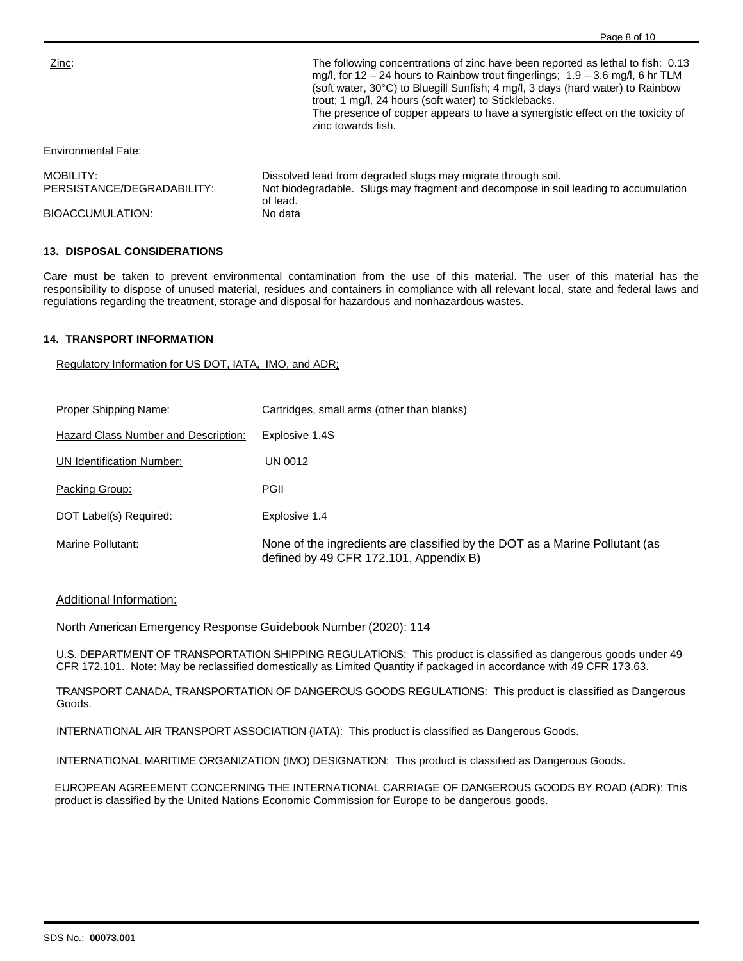Zinc: The following concentrations of zinc have been reported as lethal to fish: 0.13 mg/l, for  $12 - 24$  hours to Rainbow trout fingerlings;  $1.9 - 3.6$  mg/l, 6 hr TLM (soft water, 30°C) to Bluegill Sunfish; 4 mg/l, 3 days (hard water) to Rainbow trout; 1 mg/l, 24 hours (soft water) to Sticklebacks. The presence of copper appears to have a synergistic effect on the toxicity of zinc towards fish.

#### Environmental Fate:

| MOBILITY:                  | Dissolved lead from degraded slugs may migrate through soil.                                    |
|----------------------------|-------------------------------------------------------------------------------------------------|
| PERSISTANCE/DEGRADABILITY: | Not biodegradable. Slugs may fragment and decompose in soil leading to accumulation<br>of lead. |
| BIOACCUMULATION:           | No data                                                                                         |

# **13. DISPOSAL CONSIDERATIONS**

Care must be taken to prevent environmental contamination from the use of this material. The user of this material has the responsibility to dispose of unused material, residues and containers in compliance with all relevant local, state and federal laws and regulations regarding the treatment, storage and disposal for hazardous and nonhazardous wastes.

# **14. TRANSPORT INFORMATION**

Regulatory Information for US DOT, IATA, IMO, and ADR:

| Proper Shipping Name:                | Cartridges, small arms (other than blanks)                                                                            |
|--------------------------------------|-----------------------------------------------------------------------------------------------------------------------|
| Hazard Class Number and Description: | Explosive 1.4S                                                                                                        |
| UN Identification Number:            | UN 0012                                                                                                               |
| Packing Group:                       | PGII                                                                                                                  |
| DOT Label(s) Required:               | Explosive 1.4                                                                                                         |
| Marine Pollutant:                    | None of the ingredients are classified by the DOT as a Marine Pollutant (as<br>defined by 49 CFR 172.101, Appendix B) |

# Additional Information:

North American Emergency Response Guidebook Number (2020): 114

U.S. DEPARTMENT OF TRANSPORTATION SHIPPING REGULATIONS: This product is classified as dangerous goods under 49 CFR 172.101. Note: May be reclassified domestically as Limited Quantity if packaged in accordance with 49 CFR 173.63.

TRANSPORT CANADA, TRANSPORTATION OF DANGEROUS GOODS REGULATIONS: This product is classified as Dangerous Goods.

INTERNATIONAL AIR TRANSPORT ASSOCIATION (IATA): This product is classified as Dangerous Goods.

INTERNATIONAL MARITIME ORGANIZATION (IMO) DESIGNATION: This product is classified as Dangerous Goods.

EUROPEAN AGREEMENT CONCERNING THE INTERNATIONAL CARRIAGE OF DANGEROUS GOODS BY ROAD (ADR): This product is classified by the United Nations Economic Commission for Europe to be dangerous goods.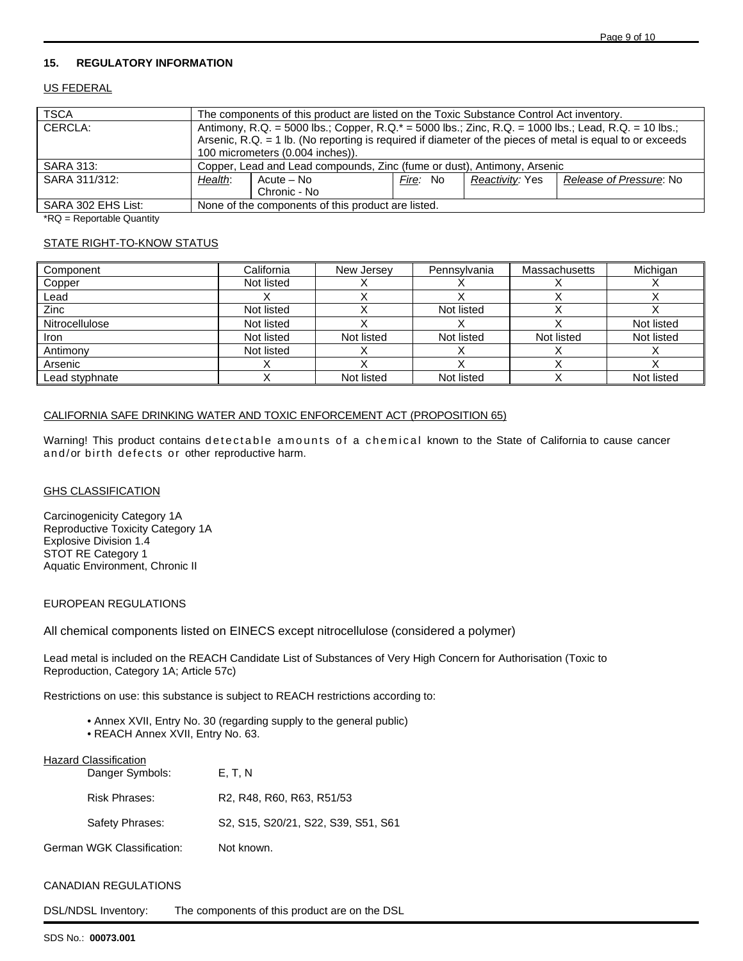# **15. REGULATORY INFORMATION**

# US FEDERAL

| <b>TSCA</b>        | The components of this product are listed on the Toxic Substance Control Act inventory.                                                                                                                                                                 |  |          |                 |                         |
|--------------------|---------------------------------------------------------------------------------------------------------------------------------------------------------------------------------------------------------------------------------------------------------|--|----------|-----------------|-------------------------|
| CERCLA:            | Antimony, R.Q. = 5000 lbs.; Copper, R.Q.* = 5000 lbs.; Zinc, R.Q. = 1000 lbs.; Lead, R.Q. = 10 lbs.;<br>Arsenic, $R.Q. = 1 lb.$ (No reporting is required if diameter of the pieces of metal is equal to or exceeds<br>100 micrometers (0.004 inches)). |  |          |                 |                         |
| <b>SARA 313:</b>   | Copper, Lead and Lead compounds, Zinc (fume or dust), Antimony, Arsenic                                                                                                                                                                                 |  |          |                 |                         |
| SARA 311/312:      | Health:<br>Acute – No<br>Chronic - No                                                                                                                                                                                                                   |  | Fire: No | Reactivity: Yes | Release of Pressure: No |
| SARA 302 EHS List: | None of the components of this product are listed.                                                                                                                                                                                                      |  |          |                 |                         |

\*RQ = Reportable Quantity

# STATE RIGHT-TO-KNOW STATUS

| Component      | California | New Jersey | Pennsylvania | Massachusetts | Michigan   |
|----------------|------------|------------|--------------|---------------|------------|
| Copper         | Not listed |            |              |               |            |
| Lead           |            |            |              |               |            |
| Zinc           | Not listed |            | Not listed   |               |            |
| Nitrocellulose | Not listed |            |              |               | Not listed |
| Iron           | Not listed | Not listed | Not listed   | Not listed    | Not listed |
| Antimony       | Not listed |            |              |               |            |
| Arsenic        |            |            |              |               |            |
| Lead styphnate |            | Not listed | Not listed   |               | Not listed |

# CALIFORNIA SAFE DRINKING WATER AND TOXIC ENFORCEMENT ACT (PROPOSITION 65)

Warning! This product contains detectable amounts of a chemical known to the State of California to cause cancer and/or birth defects or other reproductive harm.

# **GHS CLASSIFICATION**

Carcinogenicity Category 1A Reproductive Toxicity Category 1A Explosive Division 1.4 STOT RE Category 1 Aquatic Environment, Chronic II

# EUROPEAN REGULATIONS

All chemical components listed on EINECS except nitrocellulose (considered a polymer)

Lead metal is included on the REACH Candidate List of Substances of Very High Concern for Authorisation (Toxic to Reproduction, Category 1A; Article 57c)

Restrictions on use: this substance is subject to REACH restrictions according to:

- Annex XVII, Entry No. 30 (regarding supply to the general public)
- REACH Annex XVII, Entry No. 63.

| <b>Hazard Classification</b> |                                                                                                        |
|------------------------------|--------------------------------------------------------------------------------------------------------|
| Danger Symbols:              | E. T. N                                                                                                |
| <b>Risk Phrases:</b>         | R <sub>2</sub> , R <sub>48</sub> , R <sub>60</sub> , R <sub>63</sub> , R <sub>51</sub> / <sub>53</sub> |
| Safety Phrases:              | S2, S15, S20/21, S22, S39, S51, S61                                                                    |
| German WGK Classification:   | Not known.                                                                                             |

# CANADIAN REGULATIONS

DSL/NDSL Inventory: The components of this product are on the DSL

#### SDS No.: **00073.001**